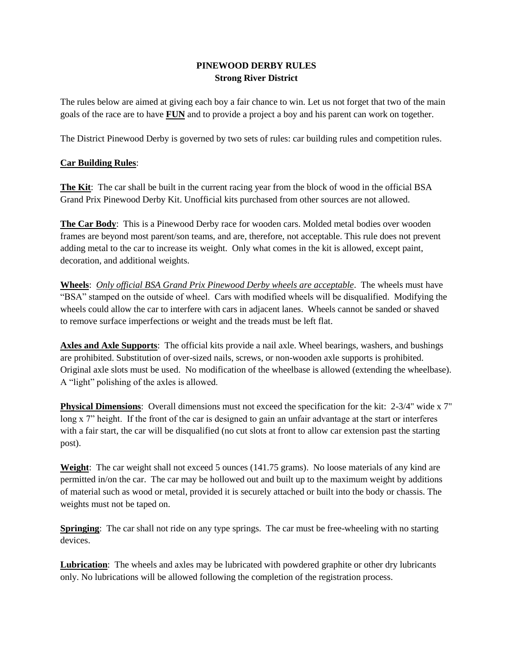## **PINEWOOD DERBY RULES Strong River District**

The rules below are aimed at giving each boy a fair chance to win. Let us not forget that two of the main goals of the race are to have **FUN** and to provide a project a boy and his parent can work on together.

The District Pinewood Derby is governed by two sets of rules: car building rules and competition rules.

## **Car Building Rules**:

**The Kit**: The car shall be built in the current racing year from the block of wood in the official BSA Grand Prix Pinewood Derby Kit. Unofficial kits purchased from other sources are not allowed.

**The Car Body**: This is a Pinewood Derby race for wooden cars. Molded metal bodies over wooden frames are beyond most parent/son teams, and are, therefore, not acceptable. This rule does not prevent adding metal to the car to increase its weight. Only what comes in the kit is allowed, except paint, decoration, and additional weights.

**Wheels**: *Only official BSA Grand Prix Pinewood Derby wheels are acceptable*. The wheels must have "BSA" stamped on the outside of wheel. Cars with modified wheels will be disqualified. Modifying the wheels could allow the car to interfere with cars in adjacent lanes. Wheels cannot be sanded or shaved to remove surface imperfections or weight and the treads must be left flat.

**Axles and Axle Supports**: The official kits provide a nail axle. Wheel bearings, washers, and bushings are prohibited. Substitution of over-sized nails, screws, or non-wooden axle supports is prohibited. Original axle slots must be used. No modification of the wheelbase is allowed (extending the wheelbase). A "light" polishing of the axles is allowed.

**Physical Dimensions**: Overall dimensions must not exceed the specification for the kit: 2-3/4" wide x 7" long x 7" height. If the front of the car is designed to gain an unfair advantage at the start or interferes with a fair start, the car will be disqualified (no cut slots at front to allow car extension past the starting post).

**Weight**: The car weight shall not exceed 5 ounces (141.75 grams). No loose materials of any kind are permitted in/on the car. The car may be hollowed out and built up to the maximum weight by additions of material such as wood or metal, provided it is securely attached or built into the body or chassis. The weights must not be taped on.

**Springing:** The car shall not ride on any type springs. The car must be free-wheeling with no starting devices.

**Lubrication**: The wheels and axles may be lubricated with powdered graphite or other dry lubricants only. No lubrications will be allowed following the completion of the registration process.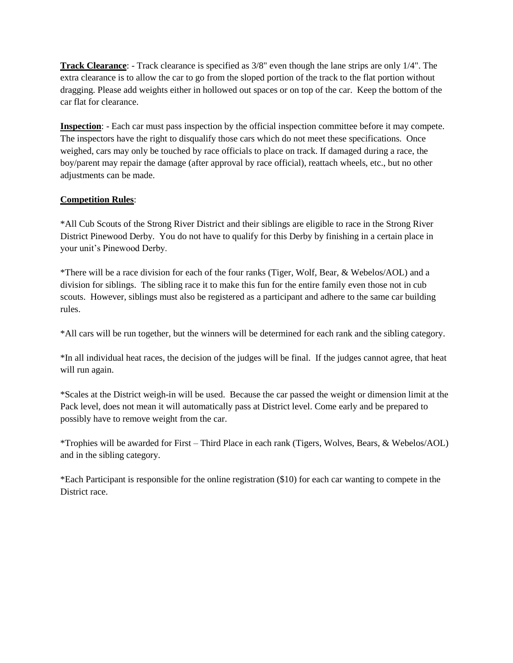**Track Clearance**: - Track clearance is specified as 3/8" even though the lane strips are only 1/4". The extra clearance is to allow the car to go from the sloped portion of the track to the flat portion without dragging. Please add weights either in hollowed out spaces or on top of the car. Keep the bottom of the car flat for clearance.

**Inspection**: - Each car must pass inspection by the official inspection committee before it may compete. The inspectors have the right to disqualify those cars which do not meet these specifications. Once weighed, cars may only be touched by race officials to place on track. If damaged during a race, the boy/parent may repair the damage (after approval by race official), reattach wheels, etc., but no other adjustments can be made.

## **Competition Rules**:

\*All Cub Scouts of the Strong River District and their siblings are eligible to race in the Strong River District Pinewood Derby. You do not have to qualify for this Derby by finishing in a certain place in your unit's Pinewood Derby.

\*There will be a race division for each of the four ranks (Tiger, Wolf, Bear, & Webelos/AOL) and a division for siblings. The sibling race it to make this fun for the entire family even those not in cub scouts. However, siblings must also be registered as a participant and adhere to the same car building rules.

\*All cars will be run together, but the winners will be determined for each rank and the sibling category.

\*In all individual heat races, the decision of the judges will be final. If the judges cannot agree, that heat will run again.

\*Scales at the District weigh-in will be used. Because the car passed the weight or dimension limit at the Pack level, does not mean it will automatically pass at District level. Come early and be prepared to possibly have to remove weight from the car.

\*Trophies will be awarded for First – Third Place in each rank (Tigers, Wolves, Bears, & Webelos/AOL) and in the sibling category.

\*Each Participant is responsible for the online registration (\$10) for each car wanting to compete in the District race.